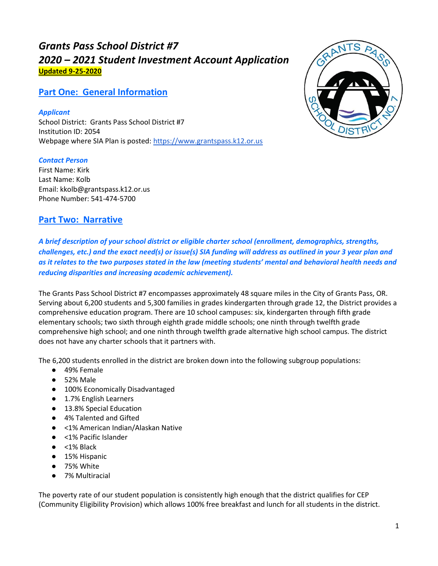# *Grants Pass School District #7 2020 – 2021 Student Investment Account Application* **Updated 9-25-2020**

# **Part One: General Information**

*Applicant* School District: Grants Pass School District #7 Institution ID: 2054 Webpage where SIA Plan is posted: [https://www.grantspass.k12.or.us](https://www.grantspass.k12.or.us/site/default.aspx?PageID=1)

### *Contact Person*

First Name: Kirk Last Name: Kolb Email: kkolb@grantspass.k12.or.us Phone Number: 541-474-5700

# **Part Two: Narrative**

*A brief description of your school district or eligible charter school (enrollment, demographics, strengths, challenges, etc.) and the exact need(s) or issue(s) SIA funding will address as outlined in your 3 year plan and as it relates to the two purposes stated in the law (meeting students' mental and behavioral health needs and reducing disparities and increasing academic achievement).*

The Grants Pass School District #7 encompasses approximately 48 square miles in the City of Grants Pass, OR. Serving about 6,200 students and 5,300 families in grades kindergarten through grade 12, the District provides a comprehensive education program. There are 10 school campuses: six, kindergarten through fifth grade elementary schools; two sixth through eighth grade middle schools; one ninth through twelfth grade comprehensive high school; and one ninth through twelfth grade alternative high school campus. The district does not have any charter schools that it partners with.

The 6,200 students enrolled in the district are broken down into the following subgroup populations:

- 49% Female
- 52% Male
- 100% Economically Disadvantaged
- 1.7% English Learners
- 13.8% Special Education
- 4% Talented and Gifted
- <1% American Indian/Alaskan Native
- <1% Pacific Islander
- $\bullet$  <1% Black
- 15% Hispanic
- 75% White
- 7% Multiracial

The poverty rate of our student population is consistently high enough that the district qualifies for CEP (Community Eligibility Provision) which allows 100% free breakfast and lunch for all students in the district.

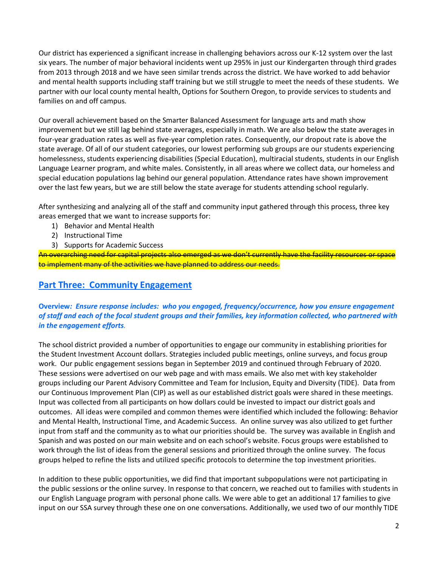Our district has experienced a significant increase in challenging behaviors across our K-12 system over the last six years. The number of major behavioral incidents went up 295% in just our Kindergarten through third grades from 2013 through 2018 and we have seen similar trends across the district. We have worked to add behavior and mental health supports including staff training but we still struggle to meet the needs of these students. We partner with our local county mental health, Options for Southern Oregon, to provide services to students and families on and off campus.

Our overall achievement based on the Smarter Balanced Assessment for language arts and math show improvement but we still lag behind state averages, especially in math. We are also below the state averages in four-year graduation rates as well as five-year completion rates. Consequently, our dropout rate is above the state average. Of all of our student categories, our lowest performing sub groups are our students experiencing homelessness, students experiencing disabilities (Special Education), multiracial students, students in our English Language Learner program, and white males. Consistently, in all areas where we collect data, our homeless and special education populations lag behind our general population. Attendance rates have shown improvement over the last few years, but we are still below the state average for students attending school regularly.

After synthesizing and analyzing all of the staff and community input gathered through this process, three key areas emerged that we want to increase supports for:

- 1) Behavior and Mental Health
- 2) Instructional Time
- 3) Supports for Academic Success

An overarching need for capital projects also emerged as we don't currently have the facility resources or space to implement many of the activities we have planned to address our needs.

# **Part Three: Community Engagement**

### **Overview***: Ensure response includes: who you engaged, frequency/occurrence, how you ensure engagement of staff and each of the focal student groups and their families, key information collected, who partnered with in the engagement efforts.*

The school district provided a number of opportunities to engage our community in establishing priorities for the Student Investment Account dollars. Strategies included public meetings, online surveys, and focus group work. Our public engagement sessions began in September 2019 and continued through February of 2020. These sessions were advertised on our web page and with mass emails. We also met with key stakeholder groups including our Parent Advisory Committee and Team for Inclusion, Equity and Diversity (TIDE). Data from our Continuous Improvement Plan (CIP) as well as our established district goals were shared in these meetings. Input was collected from all participants on how dollars could be invested to impact our district goals and outcomes. All ideas were compiled and common themes were identified which included the following: Behavior and Mental Health, Instructional Time, and Academic Success. An online survey was also utilized to get further input from staff and the community as to what our priorities should be. The survey was available in English and Spanish and was posted on our main website and on each school's website. Focus groups were established to work through the list of ideas from the general sessions and prioritized through the online survey. The focus groups helped to refine the lists and utilized specific protocols to determine the top investment priorities.

In addition to these public opportunities, we did find that important subpopulations were not participating in the public sessions or the online survey. In response to that concern, we reached out to families with students in our English Language program with personal phone calls. We were able to get an additional 17 families to give input on our SSA survey through these one on one conversations. Additionally, we used two of our monthly TIDE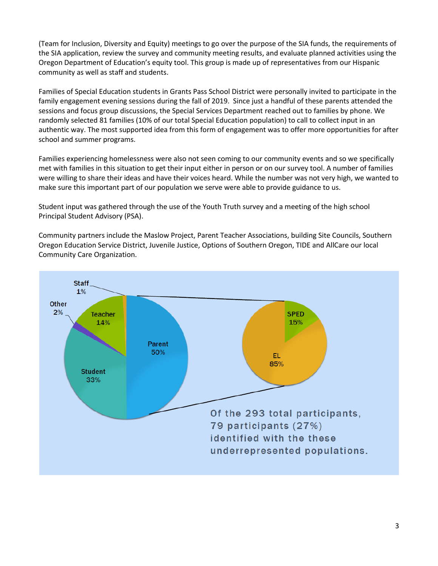(Team for Inclusion, Diversity and Equity) meetings to go over the purpose of the SIA funds, the requirements of the SIA application, review the survey and community meeting results, and evaluate planned activities using the Oregon Department of Education's equity tool. This group is made up of representatives from our Hispanic community as well as staff and students.

Families of Special Education students in Grants Pass School District were personally invited to participate in the family engagement evening sessions during the fall of 2019. Since just a handful of these parents attended the sessions and focus group discussions, the Special Services Department reached out to families by phone. We randomly selected 81 families (10% of our total Special Education population) to call to collect input in an authentic way. The most supported idea from this form of engagement was to offer more opportunities for after school and summer programs.

Families experiencing homelessness were also not seen coming to our community events and so we specifically met with families in this situation to get their input either in person or on our survey tool. A number of families were willing to share their ideas and have their voices heard. While the number was not very high, we wanted to make sure this important part of our population we serve were able to provide guidance to us.

Student input was gathered through the use of the Youth Truth survey and a meeting of the high school Principal Student Advisory (PSA).

Community partners include the Maslow Project, Parent Teacher Associations, building Site Councils, Southern Oregon Education Service District, Juvenile Justice, Options of Southern Oregon, TIDE and AllCare our local Community Care Organization.

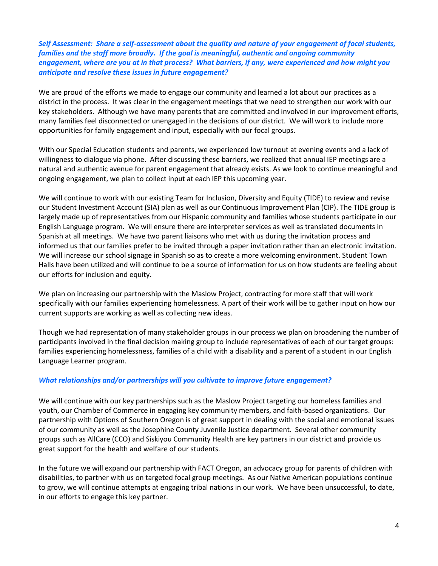*Self Assessment: Share a self-assessment about the quality and nature of your engagement of focal students, families and the staff more broadly. If the goal is meaningful, authentic and ongoing community engagement, where are you at in that process? What barriers, if any, were experienced and how might you anticipate and resolve these issues in future engagement?*

We are proud of the efforts we made to engage our community and learned a lot about our practices as a district in the process. It was clear in the engagement meetings that we need to strengthen our work with our key stakeholders. Although we have many parents that are committed and involved in our improvement efforts, many families feel disconnected or unengaged in the decisions of our district. We will work to include more opportunities for family engagement and input, especially with our focal groups.

With our Special Education students and parents, we experienced low turnout at evening events and a lack of willingness to dialogue via phone. After discussing these barriers, we realized that annual IEP meetings are a natural and authentic avenue for parent engagement that already exists. As we look to continue meaningful and ongoing engagement, we plan to collect input at each IEP this upcoming year.

We will continue to work with our existing Team for Inclusion, Diversity and Equity (TIDE) to review and revise our Student Investment Account (SIA) plan as well as our Continuous Improvement Plan (CIP). The TIDE group is largely made up of representatives from our Hispanic community and families whose students participate in our English Language program. We will ensure there are interpreter services as well as translated documents in Spanish at all meetings. We have two parent liaisons who met with us during the invitation process and informed us that our families prefer to be invited through a paper invitation rather than an electronic invitation. We will increase our school signage in Spanish so as to create a more welcoming environment. Student Town Halls have been utilized and will continue to be a source of information for us on how students are feeling about our efforts for inclusion and equity.

We plan on increasing our partnership with the Maslow Project, contracting for more staff that will work specifically with our families experiencing homelessness. A part of their work will be to gather input on how our current supports are working as well as collecting new ideas.

Though we had representation of many stakeholder groups in our process we plan on broadening the number of participants involved in the final decision making group to include representatives of each of our target groups: families experiencing homelessness, families of a child with a disability and a parent of a student in our English Language Learner program.

#### *What relationships and/or partnerships will you cultivate to improve future engagement?*

We will continue with our key partnerships such as the Maslow Project targeting our homeless families and youth, our Chamber of Commerce in engaging key community members, and faith-based organizations. Our partnership with Options of Southern Oregon is of great support in dealing with the social and emotional issues of our community as well as the Josephine County Juvenile Justice department. Several other community groups such as AllCare (CCO) and Siskiyou Community Health are key partners in our district and provide us great support for the health and welfare of our students.

In the future we will expand our partnership with FACT Oregon, an advocacy group for parents of children with disabilities, to partner with us on targeted focal group meetings. As our Native American populations continue to grow, we will continue attempts at engaging tribal nations in our work. We have been unsuccessful, to date, in our efforts to engage this key partner.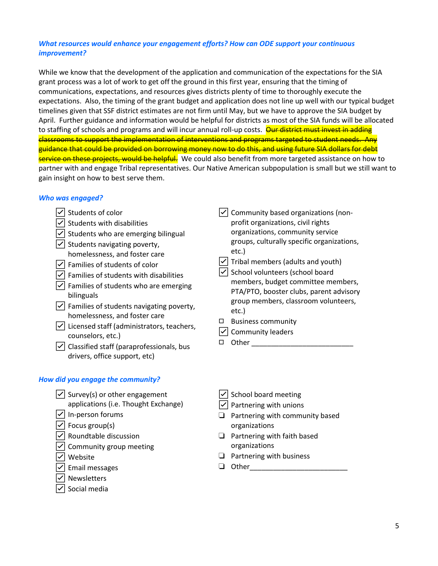### *What resources would enhance your engagement efforts? How can ODE support your continuous improvement?*

While we know that the development of the application and communication of the expectations for the SIA grant process was a lot of work to get off the ground in this first year, ensuring that the timing of communications, expectations, and resources gives districts plenty of time to thoroughly execute the expectations. Also, the timing of the grant budget and application does not line up well with our typical budget timelines given that SSF district estimates are not firm until May, but we have to approve the SIA budget by April. Further guidance and information would be helpful for districts as most of the SIA funds will be allocated to staffing of schools and programs and will incur annual roll-up costs. Our district must invest in adding classrooms to support the implementation of interventions and programs targeted to student needs. Any guidance that could be provided on borrowing money now to do this, and using future SIA dollars for debt service on these projects, would be helpful. We could also benefit from more targeted assistance on how to partner with and engage Tribal representatives. Our Native American subpopulation is small but we still want to gain insight on how to best serve them.

#### *Who was engaged?*

- ☑ Students of color
- $\triangledown$  Students with disabilities
- $\sqrt{\phantom{a}}$  Students who are emerging bilingual
- $\sqrt{\phantom{a}}$  Students navigating poverty, homelessness, and foster care
- ☑ Families of students of color
- $\triangledown$  Families of students with disabilities
- $|$  Families of students who are emerging bilinguals
- $\sqrt{\phantom{a}}$  Families of students navigating poverty, homelessness, and foster care
- ☑ Licensed staff (administrators, teachers, counselors, etc.)
- $\triangledown$  Classified staff (paraprofessionals, bus drivers, office support, etc)

# *How did you engage the community?*

- $|$  Survey(s) or other engagement applications (i.e. Thought Exchange)
- ☑ In-person forums
- $\sqrt{\phantom{a}}$  Focus group(s)
- $\sqrt{\phantom{a}}$  Roundtable discussion
- $|$  Community group meeting
- ☑ Website
- ☑ Email messages
- ☑ Newsletters
- ☑ Social media
- ☑ Community based organizations (nonprofit organizations, civil rights organizations, community service groups, culturally specific organizations, etc.)
- $|$  Tribal members (adults and youth)
- ☑ School volunteers (school board members, budget committee members, PTA/PTO, booster clubs, parent advisory group members, classroom volunteers, etc.)
- ◻ Business community
- ☑ Community leaders
- $\Box$  Other  $\Box$
- ☑ School board meeting
- $\sqrt{}$  Partnering with unions
- ❏ Partnering with community based organizations
- ❏ Partnering with faith based organizations
- ❏ Partnering with business
- ❏ Other\_\_\_\_\_\_\_\_\_\_\_\_\_\_\_\_\_\_\_\_\_\_\_\_\_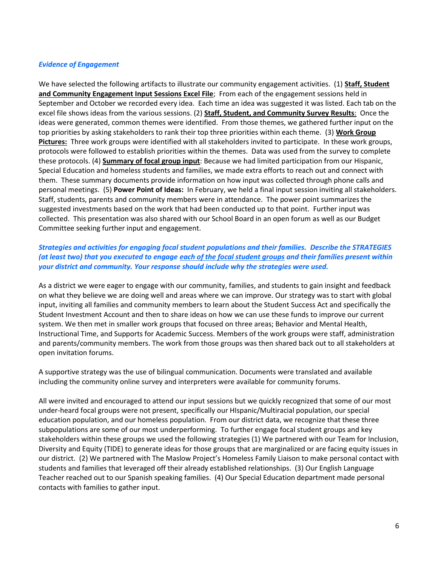#### *Evidence of Engagement*

We have selected the following artifacts to illustrate our community engagement activities. (1) **Staff, Student and Community Engagement Input Sessions Excel File**; From each of the engagement sessions held in September and October we recorded every idea. Each time an idea was suggested it was listed. Each tab on the excel file shows ideas from the various sessions. (2) **Staff, Student, and Community Survey Results**: Once the ideas were generated, common themes were identified. From those themes, we gathered further input on the top priorities by asking stakeholders to rank their top three priorities within each theme. (3) **Work Group Pictures:** Three work groups were identified with all stakeholders invited to participate. In these work groups, protocols were followed to establish priorities within the themes. Data was used from the survey to complete these protocols. (4) **Summary of focal group input**: Because we had limited participation from our Hispanic, Special Education and homeless students and families, we made extra efforts to reach out and connect with them. These summary documents provide information on how input was collected through phone calls and personal meetings. (5) **Power Point of Ideas:** In February, we held a final input session inviting all stakeholders. Staff, students, parents and community members were in attendance. The power point summarizes the suggested investments based on the work that had been conducted up to that point. Further input was collected. This presentation was also shared with our School Board in an open forum as well as our Budget Committee seeking further input and engagement.

#### *Strategies and activities for engaging focal student populations and their families. Describe the STRATEGIES (at least two) that you executed to engage [each of the focal student groups](https://www.oregon.gov/ode/about-us/Documents/HB%203427%20Student%20Investment%20Account.pdf) and their families present within your district and community. Your response should include why the strategies were used.*

As a district we were eager to engage with our community, families, and students to gain insight and feedback on what they believe we are doing well and areas where we can improve. Our strategy was to start with global input, inviting all families and community members to learn about the Student Success Act and specifically the Student Investment Account and then to share ideas on how we can use these funds to improve our current system. We then met in smaller work groups that focused on three areas; Behavior and Mental Health, Instructional Time, and Supports for Academic Success. Members of the work groups were staff, administration and parents/community members. The work from those groups was then shared back out to all stakeholders at open invitation forums.

A supportive strategy was the use of bilingual communication. Documents were translated and available including the community online survey and interpreters were available for community forums.

All were invited and encouraged to attend our input sessions but we quickly recognized that some of our most under-heard focal groups were not present, specifically our HIspanic/Multiracial population, our special education population, and our homeless population. From our district data, we recognize that these three subpopulations are some of our most underperforming. To further engage focal student groups and key stakeholders within these groups we used the following strategies (1) We partnered with our Team for Inclusion, Diversity and Equity (TIDE) to generate ideas for those groups that are marginalized or are facing equity issues in our district. (2) We partnered with The Maslow Project's Homeless Family Liaison to make personal contact with students and families that leveraged off their already established relationships. (3) Our English Language Teacher reached out to our Spanish speaking families. (4) Our Special Education department made personal contacts with families to gather input.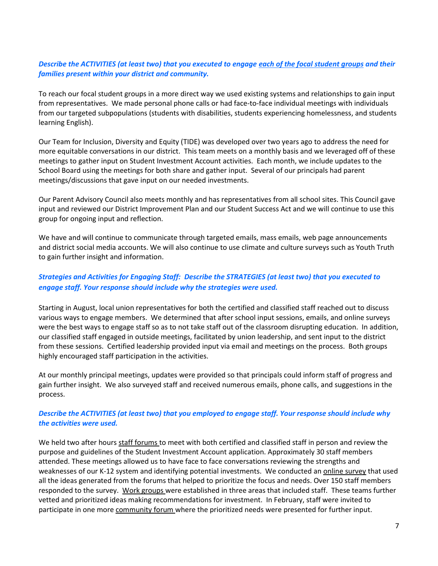#### *Describe the ACTIVITIES (at least two) that you executed to engage each of the focal student groups and their families present within your district and community.*

To reach our focal student groups in a more direct way we used existing systems and relationships to gain input from representatives. We made personal phone calls or had face-to-face individual meetings with individuals from our targeted subpopulations (students with disabilities, students experiencing homelessness, and students learning English).

Our Team for Inclusion, Diversity and Equity (TIDE) was developed over two years ago to address the need for more equitable conversations in our district. This team meets on a monthly basis and we leveraged off of these meetings to gather input on Student Investment Account activities. Each month, we include updates to the School Board using the meetings for both share and gather input. Several of our principals had parent meetings/discussions that gave input on our needed investments.

Our Parent Advisory Council also meets monthly and has representatives from all school sites. This Council gave input and reviewed our District Improvement Plan and our Student Success Act and we will continue to use this group for ongoing input and reflection.

We have and will continue to communicate through targeted emails, mass emails, web page announcements and district social media accounts. We will also continue to use climate and culture surveys such as Youth Truth to gain further insight and information.

## *Strategies and Activities for Engaging Staff: Describe the STRATEGIES (at least two) that you executed to engage staff. Your response should include why the strategies were used.*

Starting in August, local union representatives for both the certified and classified staff reached out to discuss various ways to engage members. We determined that after school input sessions, emails, and online surveys were the best ways to engage staff so as to not take staff out of the classroom disrupting education. In addition, our classified staff engaged in outside meetings, facilitated by union leadership, and sent input to the district from these sessions. Certified leadership provided input via email and meetings on the process. Both groups highly encouraged staff participation in the activities.

At our monthly principal meetings, updates were provided so that principals could inform staff of progress and gain further insight. We also surveyed staff and received numerous emails, phone calls, and suggestions in the process.

#### *Describe the ACTIVITIES (at least two) that you employed to engage staff. Your response should include why the activities were used.*

We held two after hours staff forums to meet with both certified and classified staff in person and review the purpose and guidelines of the Student Investment Account application. Approximately 30 staff members attended. These meetings allowed us to have face to face conversations reviewing the strengths and weaknesses of our K-12 system and identifying potential investments. We conducted an *online survey* that used all the ideas generated from the forums that helped to prioritize the focus and needs. Over 150 staff members responded to the survey. Work groups were established in three areas that included staff. These teams further vetted and prioritized ideas making recommendations for investment. In February, staff were invited to participate in one more community forum where the prioritized needs were presented for further input.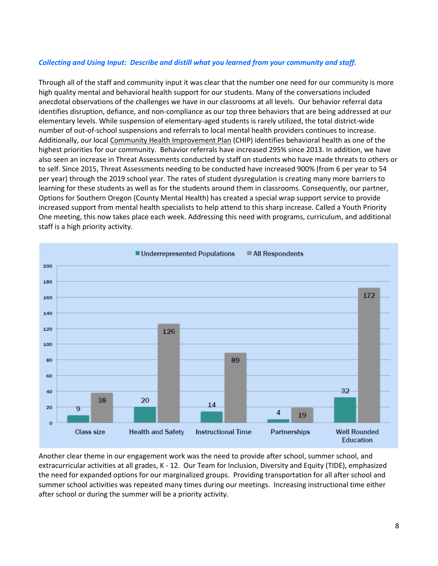#### *Collecting and Using Input: Describe and distill what you learned from your community and staff.*

Through all of the staff and community input it was clear that the number one need for our community is more high quality mental and behavioral health support for our students. Many of the conversations included anecdotal observations of the challenges we have in our classrooms at all levels. Our behavior referral data identifies disruption, defiance, and non-compliance as our top three behaviors that are being addressed at our elementary levels. While suspension of elementary-aged students is rarely utilized, the total district-wide number of out-of-school suspensions and referrals to local mental health providers continues to increase. Additionally, our local [Community Health Improvement Plan](https://jeffersonregionalhealthalliance.org/wp-content/uploads/2019/07/Full-CHIP-FINAL.pdf) (CHIP) identifies behavioral health as one of the highest priorities for our community. Behavior referrals have increased 295% since 2013. In addition, we have also seen an increase in Threat Assessments conducted by staff on students who have made threats to others or to self. Since 2015, Threat Assessments needing to be conducted have increased 900% (from 6 per year to 54 per year) through the 2019 school year. The rates of student dysregulation is creating many more barriers to learning for these students as well as for the students around them in classrooms. Consequently, our partner, Options for Southern Oregon (County Mental Health) has created a special wrap support service to provide increased support from mental health specialists to help attend to this sharp increase. Called a Youth Priority One meeting, this now takes place each week. Addressing this need with programs, curriculum, and additional staff is a high priority activity.



Another clear theme in our engagement work was the need to provide after school, summer school, and extracurricular activities at all grades, K - 12. Our Team for Inclusion, Diversity and Equity (TIDE), emphasized the need for expanded options for our marginalized groups. Providing transportation for all after school and summer school activities was repeated many times during our meetings. Increasing instructional time either after school or during the summer will be a priority activity.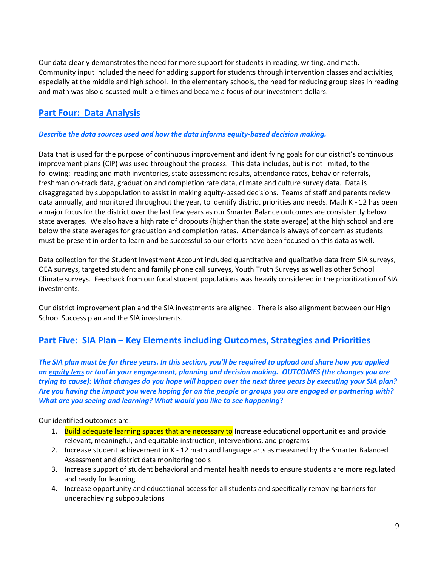Our data clearly demonstrates the need for more support for students in reading, writing, and math. Community input included the need for adding support for students through intervention classes and activities, especially at the middle and high school. In the elementary schools, the need for reducing group sizes in reading and math was also discussed multiple times and became a focus of our investment dollars.

# **Part Four: Data Analysis**

## *Describe the data sources used and how the data informs equity-based decision making.*

Data that is used for the purpose of continuous improvement and identifying goals for our district's continuous improvement plans (CIP) was used throughout the process. This data includes, but is not limited, to the following: reading and math inventories, state assessment results, attendance rates, behavior referrals, freshman on-track data, graduation and completion rate data, climate and culture survey data. Data is disaggregated by subpopulation to assist in making equity-based decisions. Teams of staff and parents review data annually, and monitored throughout the year, to identify district priorities and needs. Math K - 12 has been a major focus for the district over the last few years as our Smarter Balance outcomes are consistently below state averages. We also have a high rate of dropouts (higher than the state average) at the high school and are below the state averages for graduation and completion rates. Attendance is always of concern as students must be present in order to learn and be successful so our efforts have been focused on this data as well.

Data collection for the Student Investment Account included quantitative and qualitative data from SIA surveys, OEA surveys, targeted student and family phone call surveys, Youth Truth Surveys as well as other School Climate surveys. Feedback from our focal student populations was heavily considered in the prioritization of SIA investments.

Our district improvement plan and the SIA investments are aligned. There is also alignment between our High School Success plan and the SIA investments.

# **Part Five: SIA Plan – Key Elements including Outcomes, Strategies and Priorities**

*The SIA plan must be for three years. In this section, you'll be required to upload and share how you applied an [equity lens](https://www.oregon.gov/ode/StudentSuccess/Documents/Appendix%20B%20-%20ODE%20Equity%20Lens.pdf) or tool in your engagement, planning and decision making. OUTCOMES (the changes you are trying to cause): What changes do you hope will happen over the next three years by executing your SIA plan? Are you having the impact you were hoping for on the people or groups you are engaged or partnering with? What are you seeing and learning? What would you like to see happening***?**

### Our identified outcomes are:

- 1. Build adequate learning spaces that are necessary to Increase educational opportunities and provide relevant, meaningful, and equitable instruction, interventions, and programs
- 2. Increase student achievement in K 12 math and language arts as measured by the Smarter Balanced Assessment and district data monitoring tools
- 3. Increase support of student behavioral and mental health needs to ensure students are more regulated and ready for learning.
- 4. Increase opportunity and educational access for all students and specifically removing barriers for underachieving subpopulations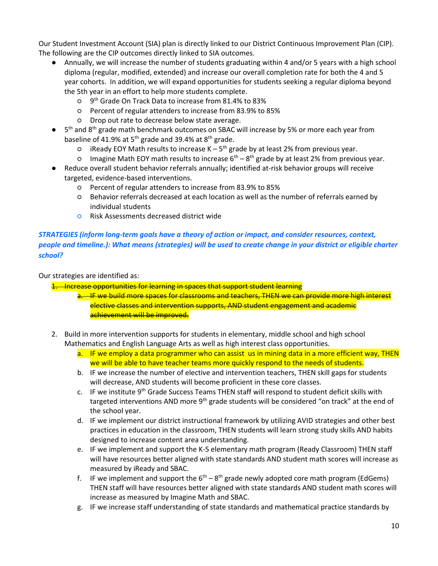Our Student Investment Account (SIA) plan is directly linked to our District Continuous Improvement Plan (CIP). The following are the CIP outcomes directly linked to SIA outcomes.

- Annually, we will increase the number of students graduating within 4 and/or 5 years with a high school diploma (regular, modified, extended) and increase our overall completion rate for both the 4 and 5 year cohorts. In addition, we will expand opportunities for students seeking a regular diploma beyond the 5th year in an effort to help more students complete.
	- o 9<sup>th</sup> Grade On Track Data to increase from 81.4% to 83%
	- Percent of regular attenders to increase from 83.9% to 85%
	- Drop out rate to decrease below state average.
- 5<sup>th</sup> and 8<sup>th</sup> grade math benchmark outcomes on SBAC will increase by 5% or more each year from baseline of 41.9% at  $5^{th}$  grade and 39.4% at  $8^{th}$  grade.
	- $\circ$  iReady EOY Math results to increase K 5<sup>th</sup> grade by at least 2% from previous year.
	- $\circ$  Imagine Math EOY math results to increase 6<sup>th</sup> 8<sup>th</sup> grade by at least 2% from previous year.
- Reduce overall student behavior referrals annually; identified at-risk behavior groups will receive targeted, evidence-based interventions.
	- Percent of regular attenders to increase from 83.9% to 85%
	- Behavior referrals decreased at each location as well as the number of referrals earned by individual students
	- Risk Assessments decreased district wide

# *STRATEGIES (inform long-term goals have a theory of action or impact, and consider resources, context, people and timeline.): What means (strategies) will be used to create change in your district or eligible charter school?*

Our strategies are identified as:

1. Increase opportunities for learning in spaces that support student learning

- a. IF we build more spaces for classrooms and teachers, THEN we can provide more high interest elective classes and intervention supports, AND student engagement and academic achievement will be improved.
- 2. Build in more intervention supports for students in elementary, middle school and high school Mathematics and English Language Arts as well as high interest class opportunities.
	- a. IF we employ a data programmer who can assist us in mining data in a more efficient way, THEN we will be able to have teacher teams more quickly respond to the needs of students.
	- b. IF we increase the number of elective and intervention teachers, THEN skill gaps for students will decrease, AND students will become proficient in these core classes.
	- c. IF we institute  $9<sup>th</sup>$  Grade Success Teams THEN staff will respond to student deficit skills with targeted interventions AND more 9<sup>th</sup> grade students will be considered "on track" at the end of the school year.
	- d. IF we implement our district instructional framework by utilizing AVID strategies and other best practices in education in the classroom, THEN students will learn strong study skills AND habits designed to increase content area understanding.
	- e. IF we implement and support the K-5 elementary math program (Ready Classroom) THEN staff will have resources better aligned with state standards AND student math scores will increase as measured by iReady and SBAC.
	- f. IF we implement and support the  $6<sup>th</sup> 8<sup>th</sup>$  grade newly adopted core math program (EdGems) THEN staff will have resources better aligned with state standards AND student math scores will increase as measured by Imagine Math and SBAC.
	- g. IF we increase staff understanding of state standards and mathematical practice standards by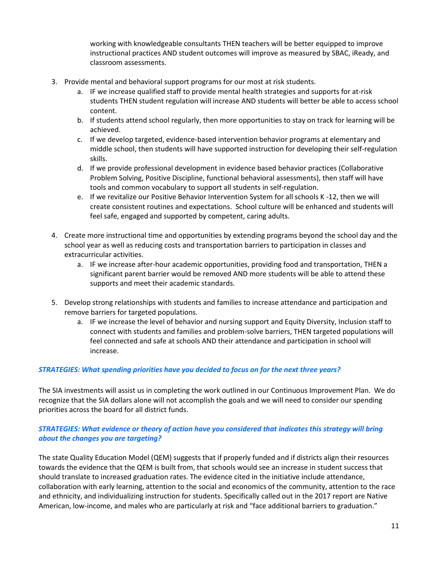working with knowledgeable consultants THEN teachers will be better equipped to improve instructional practices AND student outcomes will improve as measured by SBAC, iReady, and classroom assessments.

- 3. Provide mental and behavioral support programs for our most at risk students.
	- a. IF we increase qualified staff to provide mental health strategies and supports for at-risk students THEN student regulation will increase AND students will better be able to access school content.
	- b. If students attend school regularly, then more opportunities to stay on track for learning will be achieved.
	- c. If we develop targeted, evidence-based intervention behavior programs at elementary and middle school, then students will have supported instruction for developing their self-regulation skills.
	- d. If we provide professional development in evidence based behavior practices (Collaborative Problem Solving, Positive Discipline, functional behavioral assessments), then staff will have tools and common vocabulary to support all students in self-regulation.
	- e. If we revitalize our Positive Behavior Intervention System for all schools K -12, then we will create consistent routines and expectations. School culture will be enhanced and students will feel safe, engaged and supported by competent, caring adults.
- 4. Create more instructional time and opportunities by extending programs beyond the school day and the school year as well as reducing costs and transportation barriers to participation in classes and extracurricular activities.
	- a. IF we increase after-hour academic opportunities, providing food and transportation, THEN a significant parent barrier would be removed AND more students will be able to attend these supports and meet their academic standards.
- 5. Develop strong relationships with students and families to increase attendance and participation and remove barriers for targeted populations.
	- a. IF we increase the level of behavior and nursing support and Equity Diversity, Inclusion staff to connect with students and families and problem-solve barriers, THEN targeted populations will feel connected and safe at schools AND their attendance and participation in school will increase.

### *STRATEGIES: What spending priorities have you decided to focus on for the next three years?*

The SIA investments will assist us in completing the work outlined in our Continuous Improvement Plan. We do recognize that the SIA dollars alone will not accomplish the goals and we will need to consider our spending priorities across the board for all district funds.

# *STRATEGIES: What evidence or theory of action have you considered that indicates this strategy will bring about the changes you are targeting?*

The state Quality Education Model (QEM) suggests that if properly funded and if districts align their resources towards the evidence that the QEM is built from, that schools would see an increase in student success that should translate to increased graduation rates. The evidence cited in the initiative include attendance, collaboration with early learning, attention to the social and economics of the community, attention to the race and ethnicity, and individualizing instruction for students. Specifically called out in the 2017 report are Native American, low-income, and males who are particularly at risk and "face additional barriers to graduation."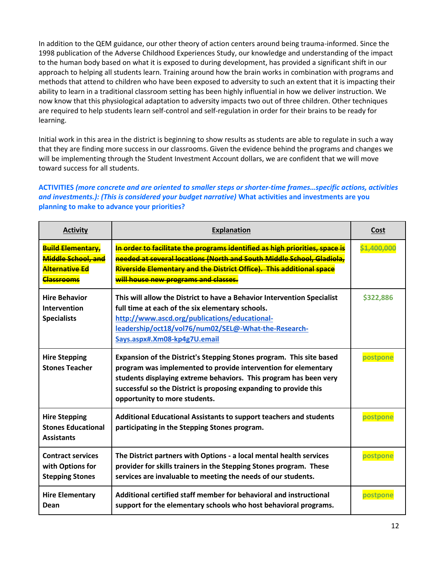In addition to the QEM guidance, our other theory of action centers around being trauma-informed. Since the 1998 publication of the Adverse Childhood Experiences Study, our knowledge and understanding of the impact to the human body based on what it is exposed to during development, has provided a significant shift in our approach to helping all students learn. Training around how the brain works in combination with programs and methods that attend to children who have been exposed to adversity to such an extent that it is impacting their ability to learn in a traditional classroom setting has been highly influential in how we deliver instruction. We now know that this physiological adaptation to adversity impacts two out of three children. Other techniques are required to help students learn self-control and self-regulation in order for their brains to be ready for learning.

Initial work in this area in the district is beginning to show results as students are able to regulate in such a way that they are finding more success in our classrooms. Given the evidence behind the programs and changes we will be implementing through the Student Investment Account dollars, we are confident that we will move toward success for all students.

# **ACTIVITIES** *(more concrete and are oriented to smaller steps or shorter-time frames…specific actions, activities and investments.): (This is considered your budget narrative)* **What activities and investments are you planning to make to advance your priorities?**

| <b>Activity</b>                                                                              | Explanation                                                                                                                                                                                                                                                                                                       | Cost        |
|----------------------------------------------------------------------------------------------|-------------------------------------------------------------------------------------------------------------------------------------------------------------------------------------------------------------------------------------------------------------------------------------------------------------------|-------------|
| <b>Build Elementary,</b><br>Middle School, and<br><b>Alternative Ed</b><br><b>Classrooms</b> | In order to facilitate the programs identified as high priorities, space is<br>needed at several locations (North and South Middle School, Gladiola,<br>Riverside Elementary and the District Office). This additional space<br>will house new programs and classes.                                              | \$1,400,000 |
| <b>Hire Behavior</b><br>Intervention<br><b>Specialists</b>                                   | This will allow the District to have a Behavior Intervention Specialist<br>full time at each of the six elementary schools.<br>http://www.ascd.org/publications/educational-<br>leadership/oct18/vol76/num02/SEL@-What-the-Research-<br>Says.aspx#.Xm08-kp4g7U.email                                              | \$322,886   |
| <b>Hire Stepping</b><br><b>Stones Teacher</b>                                                | Expansion of the District's Stepping Stones program. This site based<br>program was implemented to provide intervention for elementary<br>students displaying extreme behaviors. This program has been very<br>successful so the District is proposing expanding to provide this<br>opportunity to more students. | postpone    |
| <b>Hire Stepping</b><br><b>Stones Educational</b><br><b>Assistants</b>                       | <b>Additional Educational Assistants to support teachers and students</b><br>participating in the Stepping Stones program.                                                                                                                                                                                        | postpone    |
| <b>Contract services</b><br>with Options for<br><b>Stepping Stones</b>                       | The District partners with Options - a local mental health services<br>provider for skills trainers in the Stepping Stones program. These<br>services are invaluable to meeting the needs of our students.                                                                                                        | postpone    |
| <b>Hire Elementary</b><br>Dean                                                               | Additional certified staff member for behavioral and instructional<br>support for the elementary schools who host behavioral programs.                                                                                                                                                                            | postpone    |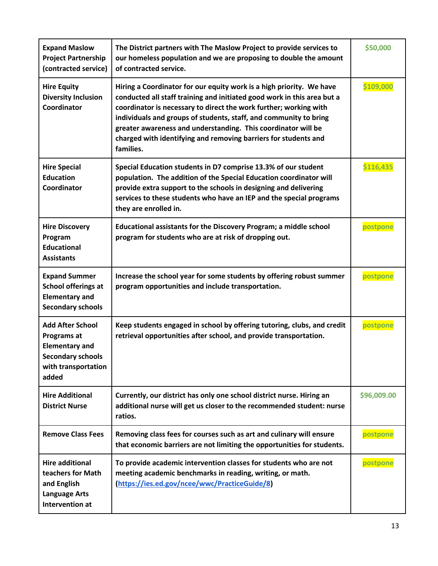| <b>Expand Maslow</b><br><b>Project Partnership</b><br>(contracted service)                                                  | The District partners with The Maslow Project to provide services to<br>our homeless population and we are proposing to double the amount<br>of contracted service.                                                                                                                                                                                                                                                                        | \$50,000    |
|-----------------------------------------------------------------------------------------------------------------------------|--------------------------------------------------------------------------------------------------------------------------------------------------------------------------------------------------------------------------------------------------------------------------------------------------------------------------------------------------------------------------------------------------------------------------------------------|-------------|
| <b>Hire Equity</b><br><b>Diversity Inclusion</b><br>Coordinator                                                             | Hiring a Coordinator for our equity work is a high priority. We have<br>conducted all staff training and initiated good work in this area but a<br>coordinator is necessary to direct the work further; working with<br>individuals and groups of students, staff, and community to bring<br>greater awareness and understanding. This coordinator will be<br>charged with identifying and removing barriers for students and<br>families. | \$109,000   |
| <b>Hire Special</b><br><b>Education</b><br>Coordinator                                                                      | Special Education students in D7 comprise 13.3% of our student<br>population. The addition of the Special Education coordinator will<br>provide extra support to the schools in designing and delivering<br>services to these students who have an IEP and the special programs<br>they are enrolled in.                                                                                                                                   | \$116,435   |
| <b>Hire Discovery</b><br>Program<br><b>Educational</b><br><b>Assistants</b>                                                 | Educational assistants for the Discovery Program; a middle school<br>program for students who are at risk of dropping out.                                                                                                                                                                                                                                                                                                                 | postpone    |
| <b>Expand Summer</b><br><b>School offerings at</b><br><b>Elementary and</b><br><b>Secondary schools</b>                     | Increase the school year for some students by offering robust summer<br>program opportunities and include transportation.                                                                                                                                                                                                                                                                                                                  | postpone    |
| <b>Add After School</b><br>Programs at<br><b>Elementary and</b><br><b>Secondary schools</b><br>with transportation<br>added | Keep students engaged in school by offering tutoring, clubs, and credit<br>retrieval opportunities after school, and provide transportation.                                                                                                                                                                                                                                                                                               | postpone    |
| <b>Hire Additional</b><br><b>District Nurse</b>                                                                             | Currently, our district has only one school district nurse. Hiring an<br>additional nurse will get us closer to the recommended student: nurse<br>ratios.                                                                                                                                                                                                                                                                                  | \$96,009.00 |
| <b>Remove Class Fees</b>                                                                                                    | Removing class fees for courses such as art and culinary will ensure<br>that economic barriers are not limiting the opportunities for students.                                                                                                                                                                                                                                                                                            | postpone    |
| <b>Hire additional</b><br>teachers for Math<br>and English<br><b>Language Arts</b><br>Intervention at                       | To provide academic intervention classes for students who are not<br>meeting academic benchmarks in reading, writing, or math.<br>(https://ies.ed.gov/ncee/wwc/PracticeGuide/8)                                                                                                                                                                                                                                                            | postpone    |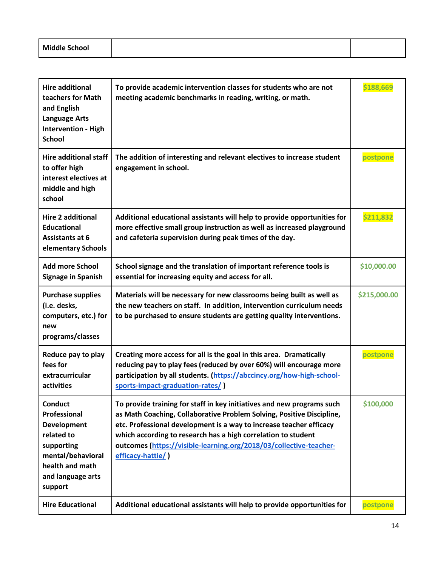| <b>Middle School</b><br>. |  |
|---------------------------|--|
|---------------------------|--|

| <b>Hire additional</b><br>teachers for Math<br>and English<br><b>Language Arts</b><br><b>Intervention - High</b><br><b>School</b>                        | To provide academic intervention classes for students who are not<br>meeting academic benchmarks in reading, writing, or math.                                                                                                                                                                                                                                                     | \$188,669    |
|----------------------------------------------------------------------------------------------------------------------------------------------------------|------------------------------------------------------------------------------------------------------------------------------------------------------------------------------------------------------------------------------------------------------------------------------------------------------------------------------------------------------------------------------------|--------------|
| <b>Hire additional staff</b><br>to offer high<br>interest electives at<br>middle and high<br>school                                                      | The addition of interesting and relevant electives to increase student<br>engagement in school.                                                                                                                                                                                                                                                                                    | postpone     |
| <b>Hire 2 additional</b><br><b>Educational</b><br><b>Assistants at 6</b><br>elementary Schools                                                           | Additional educational assistants will help to provide opportunities for<br>more effective small group instruction as well as increased playground<br>and cafeteria supervision during peak times of the day.                                                                                                                                                                      | \$211,832    |
| <b>Add more School</b><br><b>Signage in Spanish</b>                                                                                                      | School signage and the translation of important reference tools is<br>essential for increasing equity and access for all.                                                                                                                                                                                                                                                          | \$10,000.00  |
| <b>Purchase supplies</b><br>(i.e. desks,<br>computers, etc.) for<br>new<br>programs/classes                                                              | Materials will be necessary for new classrooms being built as well as<br>the new teachers on staff. In addition, intervention curriculum needs<br>to be purchased to ensure students are getting quality interventions.                                                                                                                                                            | \$215,000.00 |
| Reduce pay to play<br>fees for<br>extracurricular<br>activities                                                                                          | Creating more access for all is the goal in this area. Dramatically<br>reducing pay to play fees (reduced by over 60%) will encourage more<br>participation by all students. (https://abccincy.org/how-high-school-<br>sports-impact-graduation-rates/)                                                                                                                            | postpone     |
| <b>Conduct</b><br>Professional<br><b>Development</b><br>related to<br>supporting<br>mental/behavioral<br>health and math<br>and language arts<br>support | To provide training for staff in key initiatives and new programs such<br>as Math Coaching, Collaborative Problem Solving, Positive Discipline,<br>etc. Professional development is a way to increase teacher efficacy<br>which according to research has a high correlation to student<br>outcomes (https://visible-learning.org/2018/03/collective-teacher-<br>efficacy-hattie/) | \$100,000    |
| <b>Hire Educational</b>                                                                                                                                  | Additional educational assistants will help to provide opportunities for                                                                                                                                                                                                                                                                                                           | postpone     |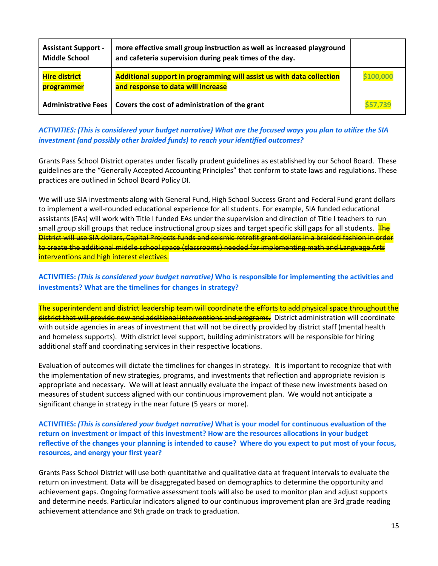| <b>Assistant Support -</b><br><b>Middle School</b> | more effective small group instruction as well as increased playground<br>and cafeteria supervision during peak times of the day. |           |
|----------------------------------------------------|-----------------------------------------------------------------------------------------------------------------------------------|-----------|
| <b>Hire district</b><br>programmer                 | Additional support in programming will assist us with data collection<br>and response to data will increase                       | \$100,000 |
|                                                    | Administrative Fees   Covers the cost of administration of the grant                                                              | \$57,739  |

## *ACTIVITIES: (This is considered your budget narrative) What are the focused ways you plan to utilize the SIA investment (and possibly other braided funds) to reach your identified outcomes?*

Grants Pass School District operates under fiscally prudent guidelines as established by our School Board. These guidelines are the "Generally Accepted Accounting Principles" that conform to state laws and regulations. These practices are outlined in School Board Policy DI.

We will use SIA investments along with General Fund, High School Success Grant and Federal Fund grant dollars to implement a well-rounded educational experience for all students. For example, SIA funded educational assistants (EAs) will work with Title I funded EAs under the supervision and direction of Title I teachers to run small group skill groups that reduce instructional group sizes and target specific skill gaps for all students. The District will use SIA dollars, Capital Projects funds and seismic retrofit grant dollars in a braided fashion in order to create the additional middle school space (classrooms) needed for implementing math and Language Arts interventions and high interest electives.

# **ACTIVITIES:** *(This is considered your budget narrative)* **Who is responsible for implementing the activities and investments? What are the timelines for changes in strategy?**

The superintendent and district leadership team will coordinate the efforts to add physical space throughout the district that will provide new and additional interventions and programs. District administration will coordinate with outside agencies in areas of investment that will not be directly provided by district staff (mental health and homeless supports). With district level support, building administrators will be responsible for hiring additional staff and coordinating services in their respective locations.

Evaluation of outcomes will dictate the timelines for changes in strategy. It is important to recognize that with the implementation of new strategies, programs, and investments that reflection and appropriate revision is appropriate and necessary. We will at least annually evaluate the impact of these new investments based on measures of student success aligned with our continuous improvement plan. We would not anticipate a significant change in strategy in the near future (5 years or more).

#### **ACTIVITIES:** *(This is considered your budget narrative)* **What is your model for continuous evaluation of the return on investment or impact of this investment? How are the resources allocations in your budget reflective of the changes your planning is intended to cause? Where do you expect to put most of your focus, resources, and energy your first year?**

Grants Pass School District will use both quantitative and qualitative data at frequent intervals to evaluate the return on investment. Data will be disaggregated based on demographics to determine the opportunity and achievement gaps. Ongoing formative assessment tools will also be used to monitor plan and adjust supports and determine needs. Particular indicators aligned to our continuous improvement plan are 3rd grade reading achievement attendance and 9th grade on track to graduation.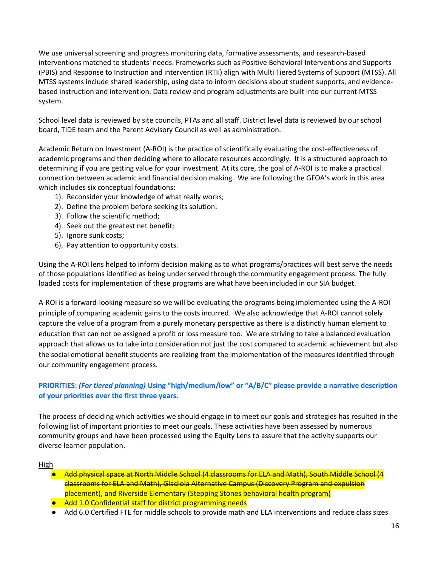We use universal screening and progress monitoring data, formative assessments, and research-based interventions matched to students' needs. Frameworks such as Positive Behavioral Interventions and Supports (PBIS) and Response to Instruction and intervention (RTIi) align with Multi Tiered Systems of Support (MTSS). All MTSS systems include shared leadership, using data to inform decisions about student supports, and evidencebased instruction and intervention. Data review and program adjustments are built into our current MTSS system.

School level data is reviewed by site councils, PTAs and all staff. District level data is reviewed by our school board, TIDE team and the Parent Advisory Council as well as administration.

Academic Return on Investment (A-ROI) is the practice of scientifically evaluating the cost-effectiveness of academic programs and then deciding where to allocate resources accordingly. It is a structured approach to determining if you are getting value for your investment. At its core, the goal of A-ROI is to make a practical connection between academic and financial decision making. We are following the GFOA's work in this area which includes six conceptual foundations:

- 1). Reconsider your knowledge of what really works;
- 2). Define the problem before seeking its solution:
- 3). Follow the scientific method;
- 4). Seek out the greatest net benefit;
- 5). Ignore sunk costs;
- 6). Pay attention to opportunity costs.

Using the A-ROI lens helped to inform decision making as to what programs/practices will best serve the needs of those populations identified as being under served through the community engagement process. The fully loaded costs for implementation of these programs are what have been included in our SIA budget.

A-ROI is a forward-looking measure so we will be evaluating the programs being implemented using the A-ROI principle of comparing academic gains to the costs incurred. We also acknowledge that A-ROI cannot solely capture the value of a program from a purely monetary perspective as there is a distinctly human element to education that can not be assigned a profit or loss measure too. We are striving to take a balanced evaluation approach that allows us to take into consideration not just the cost compared to academic achievement but also the social emotional benefit students are realizing from the implementation of the measures identified through our community engagement process.

# **PRIORITIES:** *(For tiered planning)* **Using "high/medium/low" or "A/B/C" please provide a narrative description of your priorities over the first three years.**

The process of deciding which activities we should engage in to meet our goals and strategies has resulted in the following list of important priorities to meet our goals. These activities have been assessed by numerous community groups and have been processed using the Equity Lens to assure that the activity supports our diverse learner population.

High

- Add physical space at North Middle School (4 classrooms for ELA and Math), South Middle School (4 classrooms for ELA and Math), Gladiola Alternative Campus (Discovery Program and expulsion placement), and Riverside Elementary (Stepping Stones behavioral health program)
- Add 1.0 Confidential staff for district programming needs
- Add 6.0 Certified FTE for middle schools to provide math and ELA interventions and reduce class sizes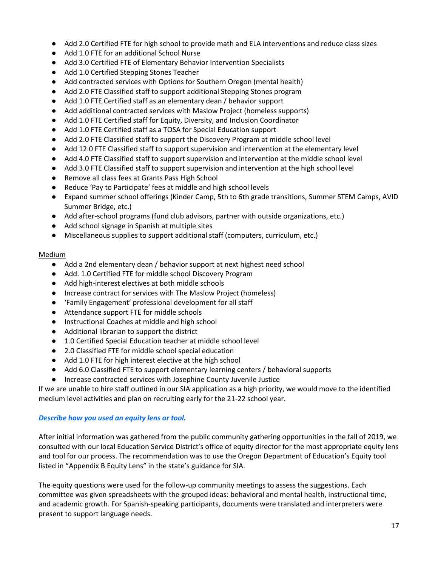- Add 2.0 Certified FTE for high school to provide math and ELA interventions and reduce class sizes
- Add 1.0 FTE for an additional School Nurse
- Add 3.0 Certified FTE of Elementary Behavior Intervention Specialists
- Add 1.0 Certified Stepping Stones Teacher
- Add contracted services with Options for Southern Oregon (mental health)
- Add 2.0 FTE Classified staff to support additional Stepping Stones program
- Add 1.0 FTE Certified staff as an elementary dean / behavior support
- Add additional contracted services with Maslow Project (homeless supports)
- Add 1.0 FTE Certified staff for Equity, Diversity, and Inclusion Coordinator
- Add 1.0 FTE Certified staff as a TOSA for Special Education support
- Add 2.0 FTE Classified staff to support the Discovery Program at middle school level
- Add 12.0 FTE Classified staff to support supervision and intervention at the elementary level
- Add 4.0 FTE Classified staff to support supervision and intervention at the middle school level
- Add 3.0 FTE Classified staff to support supervision and intervention at the high school level
- Remove all class fees at Grants Pass High School
- Reduce 'Pay to Participate' fees at middle and high school levels
- Expand summer school offerings (Kinder Camp, 5th to 6th grade transitions, Summer STEM Camps, AVID Summer Bridge, etc.)
- Add after-school programs (fund club advisors, partner with outside organizations, etc.)
- Add school signage in Spanish at multiple sites
- Miscellaneous supplies to support additional staff (computers, curriculum, etc.)

#### Medium

- Add a 2nd elementary dean / behavior support at next highest need school
- Add. 1.0 Certified FTE for middle school Discovery Program
- Add high-interest electives at both middle schools
- Increase contract for services with The Maslow Project (homeless)
- 'Family Engagement' professional development for all staff
- Attendance support FTE for middle schools
- Instructional Coaches at middle and high school
- Additional librarian to support the district
- 1.0 Certified Special Education teacher at middle school level
- 2.0 Classified FTE for middle school special education
- Add 1.0 FTE for high interest elective at the high school
- Add 6.0 Classified FTE to support elementary learning centers / behavioral supports
- Increase contracted services with Josephine County Juvenile Justice

If we are unable to hire staff outlined in our SIA application as a high priority, we would move to the identified medium level activities and plan on recruiting early for the 21-22 school year.

#### *Describe how you used an equity lens or tool.*

After initial information was gathered from the public community gathering opportunities in the fall of 2019, we consulted with our local Education Service District's office of equity director for the most appropriate equity lens and tool for our process. The recommendation was to use the Oregon Department of Education's Equity tool listed in "Appendix B Equity Lens" in the state's guidance for SIA.

The equity questions were used for the follow-up community meetings to assess the suggestions. Each committee was given spreadsheets with the grouped ideas: behavioral and mental health, instructional time, and academic growth. For Spanish-speaking participants, documents were translated and interpreters were present to support language needs.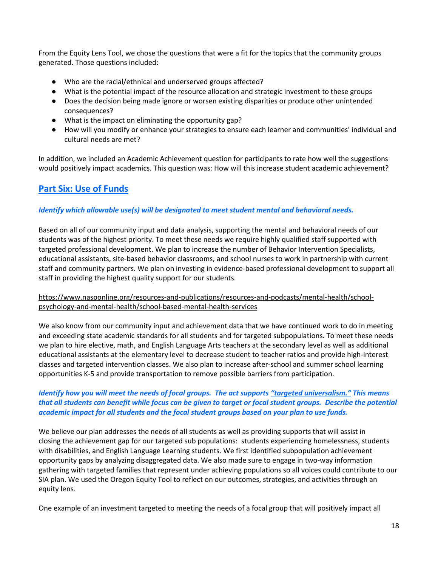From the Equity Lens Tool, we chose the questions that were a fit for the topics that the community groups generated. Those questions included:

- Who are the racial/ethnical and underserved groups affected?
- What is the potential impact of the resource allocation and strategic investment to these groups
- Does the decision being made ignore or worsen existing disparities or produce other unintended consequences?
- What is the impact on eliminating the opportunity gap?
- How will you modify or enhance your strategies to ensure each learner and communities' individual and cultural needs are met?

In addition, we included an Academic Achievement question for participants to rate how well the suggestions would positively impact academics. This question was: How will this increase student academic achievement?

# **Part Six: Use of Funds**

#### *Identify which allowable use(s) will be designated to meet student mental and behavioral needs.*

Based on all of our community input and data analysis, supporting the mental and behavioral needs of our students was of the highest priority. To meet these needs we require highly qualified staff supported with targeted professional development. We plan to increase the number of Behavior Intervention Specialists, educational assistants, site-based behavior classrooms, and school nurses to work in partnership with current staff and community partners. We plan on investing in evidence-based professional development to support all staff in providing the highest quality support for our students.

#### [https://www.nasponline.org/resources-and-publications/resources-and-podcasts/mental-health/school](https://www.nasponline.org/resources-and-publications/resources-and-podcasts/mental-health/school-psychology-and-mental-health/school-based-mental-health-services)[psychology-and-mental-health/school-based-mental-health-services](https://www.nasponline.org/resources-and-publications/resources-and-podcasts/mental-health/school-psychology-and-mental-health/school-based-mental-health-services)

We also know from our community input and achievement data that we have continued work to do in meeting and exceeding state academic standards for all students and for targeted subpopulations. To meet these needs we plan to hire elective, math, and English Language Arts teachers at the secondary level as well as additional educational assistants at the elementary level to decrease student to teacher ratios and provide high-interest classes and targeted intervention classes. We also plan to increase after-school and summer school learning opportunities K-5 and provide transportation to remove possible barriers from participation.

### *Identify how you will meet the needs of focal groups. The act supports "targeted universalism." This means that all students can benefit while focus can be given to target or focal student groups. Describe the potential academic impact for all students and the focal student groups based on your plan to use funds.*

We believe our plan addresses the needs of all students as well as providing supports that will assist in closing the achievement gap for our targeted sub populations: students experiencing homelessness, students with disabilities, and English Language Learning students. We first identified subpopulation achievement opportunity gaps by analyzing disaggregated data. We also made sure to engage in two-way information gathering with targeted families that represent under achieving populations so all voices could contribute to our SIA plan. We used the Oregon Equity Tool to reflect on our outcomes, strategies, and activities through an equity lens.

One example of an investment targeted to meeting the needs of a focal group that will positively impact all